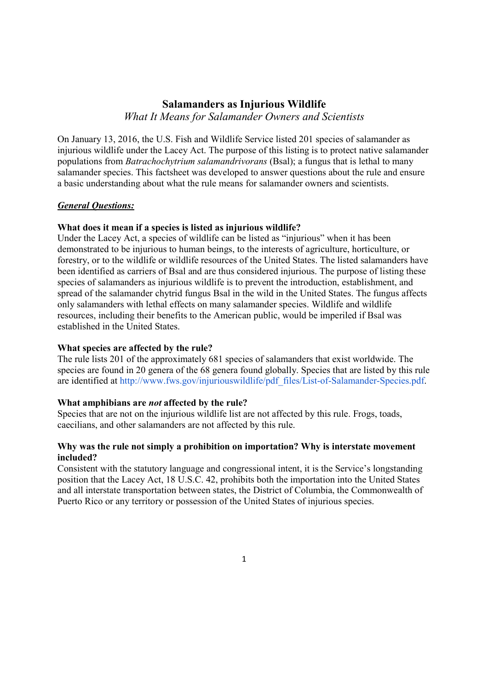# **Salamanders as Injurious Wildlife**

*What It Means for Salamander Owners and Scientists*

On January 13, 2016, the U.S. Fish and Wildlife Service listed 201 species of salamander as injurious wildlife under the Lacey Act. The purpose of this listing is to protect native salamander populations from *Batrachochytrium salamandrivorans* (Bsal); a fungus that is lethal to many salamander species. This factsheet was developed to answer questions about the rule and ensure a basic understanding about what the rule means for salamander owners and scientists.

## *General Questions:*

### **What does it mean if a species is listed as injurious wildlife?**

Under the Lacey Act, a species of wildlife can be listed as "injurious" when it has been demonstrated to be injurious to human beings, to the interests of agriculture, horticulture, or forestry, or to the wildlife or wildlife resources of the United States. The listed salamanders have been identified as carriers of Bsal and are thus considered injurious. The purpose of listing these species of salamanders as injurious wildlife is to prevent the introduction, establishment, and spread of the salamander chytrid fungus Bsal in the wild in the United States. The fungus affects only salamanders with lethal effects on many salamander species. Wildlife and wildlife resources, including their benefits to the American public, would be imperiled if Bsal was established in the United States.

### **What species are affected by the rule?**

The rule lists 201 of the approximately 681 species of salamanders that exist worldwide. The species are found in 20 genera of the 68 genera found globally. Species that are listed by this rule are identified at http://www.fws.gov/injuriouswildlife/pdf\_files/List-of-Salamander-Species.pdf.

### **What amphibians are** *not* **affected by the rule?**

Species that are not on the injurious wildlife list are not affected by this rule. Frogs, toads, caecilians, and other salamanders are not affected by this rule.

## **Why was the rule not simply a prohibition on importation? Why is interstate movement included?**

Consistent with the statutory language and congressional intent, it is the Service's longstanding position that the Lacey Act, 18 U.S.C. 42, prohibits both the importation into the United States and all interstate transportation between states, the District of Columbia, the Commonwealth of Puerto Rico or any territory or possession of the United States of injurious species.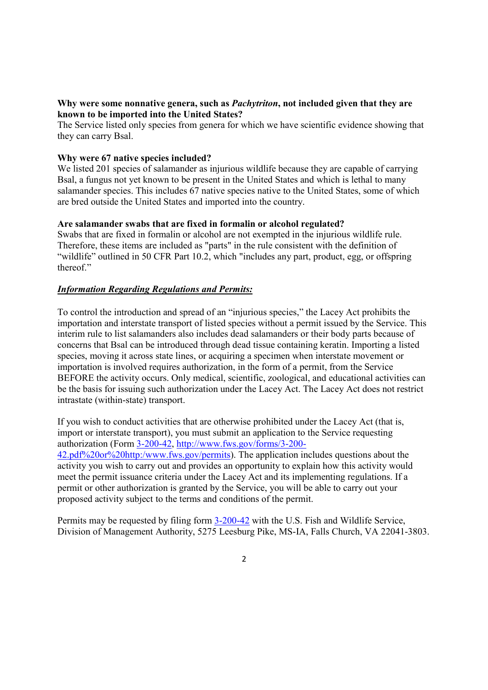## **Why were some nonnative genera, such as** *Pachytriton***, not included given that they are known to be imported into the United States?**

The Service listed only species from genera for which we have scientific evidence showing that they can carry Bsal.

## **Why were 67 native species included?**

We listed 201 species of salamander as injurious wildlife because they are capable of carrying Bsal, a fungus not yet known to be present in the United States and which is lethal to many salamander species. This includes 67 native species native to the United States, some of which are bred outside the United States and imported into the country.

### **Are salamander swabs that are fixed in formalin or alcohol regulated?**

Swabs that are fixed in formalin or alcohol are not exempted in the injurious wildlife rule. Therefore, these items are included as "parts" in the rule consistent with the definition of "wildlife" outlined in 50 CFR Part 10.2, which "includes any part, product, egg, or offspring thereof."

## *Information Regarding Regulations and Permits:*

To control the introduction and spread of an "injurious species," the Lacey Act prohibits the importation and interstate transport of listed species without a permit issued by the Service. This interim rule to list salamanders also includes dead salamanders or their body parts because of concerns that Bsal can be introduced through dead tissue containing keratin. Importing a listed species, moving it across state lines, or acquiring a specimen when interstate movement or importation is involved requires authorization, in the form of a permit, from the Service BEFORE the activity occurs. Only medical, scientific, zoological, and educational activities can be the basis for issuing such authorization under the Lacey Act. The Lacey Act does not restrict intrastate (within-state) transport.

If you wish to conduct activities that are otherwise prohibited under the Lacey Act (that is, import or interstate transport), you must submit an application to the Service requesting authorization (Form 3-200-42, http://www.fws.gov/forms/3-200- 42.pdf%20or%20http:/www.fws.gov/permits). The application includes questions about the activity you wish to carry out and provides an opportunity to explain how this activity would meet the permit issuance criteria under the Lacey Act and its implementing regulations. If a permit or other authorization is granted by the Service, you will be able to carry out your proposed activity subject to the terms and conditions of the permit.

Permits may be requested by filing form 3-200-42 with the U.S. Fish and Wildlife Service, Division of Management Authority, 5275 Leesburg Pike, MS-IA, Falls Church, VA 22041-3803.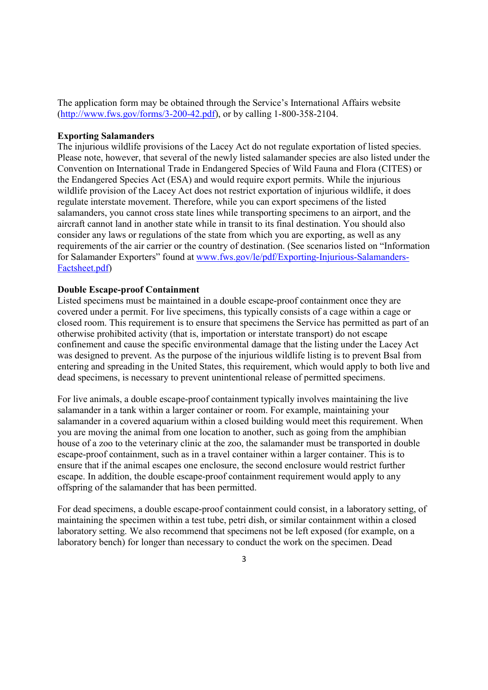The application form may be obtained through the Service's International Affairs website (http://www.fws.gov/forms/3-200-42.pdf), or by calling 1-800-358-2104.

#### **Exporting Salamanders**

The injurious wildlife provisions of the Lacey Act do not regulate exportation of listed species. Please note, however, that several of the newly listed salamander species are also listed under the Convention on International Trade in Endangered Species of Wild Fauna and Flora (CITES) or the Endangered Species Act (ESA) and would require export permits. While the injurious wildlife provision of the Lacey Act does not restrict exportation of injurious wildlife, it does regulate interstate movement. Therefore, while you can export specimens of the listed salamanders, you cannot cross state lines while transporting specimens to an airport, and the aircraft cannot land in another state while in transit to its final destination. You should also consider any laws or regulations of the state from which you are exporting, as well as any requirements of the air carrier or the country of destination. (See scenarios listed on "Information for Salamander Exporters" found at www.fws.gov/le/pdf/Exporting-Injurious-Salamanders-Factsheet.pdf)

#### **Double Escape-proof Containment**

Listed specimens must be maintained in a double escape-proof containment once they are covered under a permit. For live specimens, this typically consists of a cage within a cage or closed room. This requirement is to ensure that specimens the Service has permitted as part of an otherwise prohibited activity (that is, importation or interstate transport) do not escape confinement and cause the specific environmental damage that the listing under the Lacey Act was designed to prevent. As the purpose of the injurious wildlife listing is to prevent Bsal from entering and spreading in the United States, this requirement, which would apply to both live and dead specimens, is necessary to prevent unintentional release of permitted specimens.

For live animals, a double escape-proof containment typically involves maintaining the live salamander in a tank within a larger container or room. For example, maintaining your salamander in a covered aquarium within a closed building would meet this requirement. When you are moving the animal from one location to another, such as going from the amphibian house of a zoo to the veterinary clinic at the zoo, the salamander must be transported in double escape-proof containment, such as in a travel container within a larger container. This is to ensure that if the animal escapes one enclosure, the second enclosure would restrict further escape. In addition, the double escape-proof containment requirement would apply to any offspring of the salamander that has been permitted.

For dead specimens, a double escape-proof containment could consist, in a laboratory setting, of maintaining the specimen within a test tube, petri dish, or similar containment within a closed laboratory setting. We also recommend that specimens not be left exposed (for example, on a laboratory bench) for longer than necessary to conduct the work on the specimen. Dead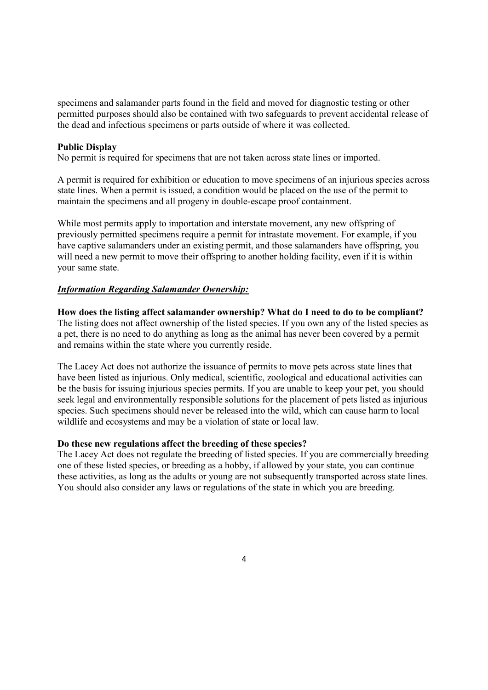specimens and salamander parts found in the field and moved for diagnostic testing or other permitted purposes should also be contained with two safeguards to prevent accidental release of the dead and infectious specimens or parts outside of where it was collected.

### **Public Display**

No permit is required for specimens that are not taken across state lines or imported.

A permit is required for exhibition or education to move specimens of an injurious species across state lines. When a permit is issued, a condition would be placed on the use of the permit to maintain the specimens and all progeny in double-escape proof containment.

While most permits apply to importation and interstate movement, any new offspring of previously permitted specimens require a permit for intrastate movement. For example, if you have captive salamanders under an existing permit, and those salamanders have offspring, you will need a new permit to move their offspring to another holding facility, even if it is within your same state.

#### *Information Regarding Salamander Ownership:*

**How does the listing affect salamander ownership? What do I need to do to be compliant?**

The listing does not affect ownership of the listed species. If you own any of the listed species as a pet, there is no need to do anything as long as the animal has never been covered by a permit and remains within the state where you currently reside.

The Lacey Act does not authorize the issuance of permits to move pets across state lines that have been listed as injurious. Only medical, scientific, zoological and educational activities can be the basis for issuing injurious species permits. If you are unable to keep your pet, you should seek legal and environmentally responsible solutions for the placement of pets listed as injurious species. Such specimens should never be released into the wild, which can cause harm to local wildlife and ecosystems and may be a violation of state or local law.

### **Do these new regulations affect the breeding of these species?**

The Lacey Act does not regulate the breeding of listed species. If you are commercially breeding one of these listed species, or breeding as a hobby, if allowed by your state, you can continue these activities, as long as the adults or young are not subsequently transported across state lines. You should also consider any laws or regulations of the state in which you are breeding.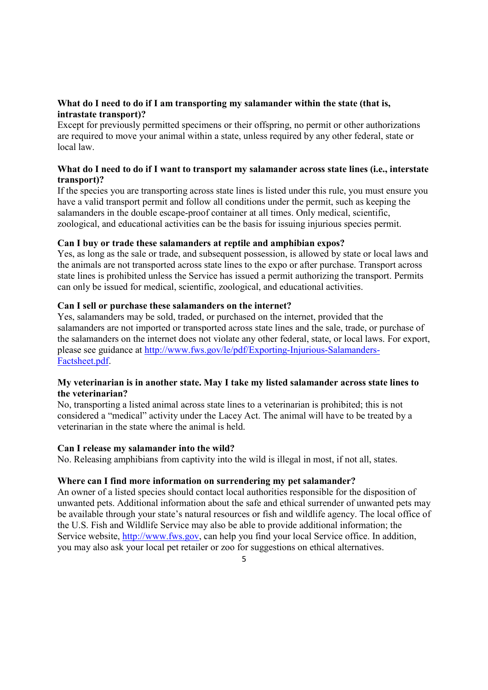# **What do I need to do if I am transporting my salamander within the state (that is, intrastate transport)?**

Except for previously permitted specimens or their offspring, no permit or other authorizations are required to move your animal within a state, unless required by any other federal, state or local law.

# **What do I need to do if I want to transport my salamander across state lines (i.e., interstate transport)?**

If the species you are transporting across state lines is listed under this rule, you must ensure you have a valid transport permit and follow all conditions under the permit, such as keeping the salamanders in the double escape-proof container at all times. Only medical, scientific, zoological, and educational activities can be the basis for issuing injurious species permit.

## **Can I buy or trade these salamanders at reptile and amphibian expos?**

Yes, as long as the sale or trade, and subsequent possession, is allowed by state or local laws and the animals are not transported across state lines to the expo or after purchase. Transport across state lines is prohibited unless the Service has issued a permit authorizing the transport. Permits can only be issued for medical, scientific, zoological, and educational activities.

## **Can I sell or purchase these salamanders on the internet?**

Yes, salamanders may be sold, traded, or purchased on the internet, provided that the salamanders are not imported or transported across state lines and the sale, trade, or purchase of the salamanders on the internet does not violate any other federal, state, or local laws. For export, please see guidance at http://www.fws.gov/le/pdf/Exporting-Injurious-Salamanders-Factsheet.pdf.

## **My veterinarian is in another state. May I take my listed salamander across state lines to the veterinarian?**

No, transporting a listed animal across state lines to a veterinarian is prohibited; this is not considered a "medical" activity under the Lacey Act. The animal will have to be treated by a veterinarian in the state where the animal is held.

### **Can I release my salamander into the wild?**

No. Releasing amphibians from captivity into the wild is illegal in most, if not all, states.

### **Where can I find more information on surrendering my pet salamander?**

An owner of a listed species should contact local authorities responsible for the disposition of unwanted pets. Additional information about the safe and ethical surrender of unwanted pets may be available through your state's natural resources or fish and wildlife agency. The local office of the U.S. Fish and Wildlife Service may also be able to provide additional information; the Service website, http://www.fws.gov, can help you find your local Service office. In addition, you may also ask your local pet retailer or zoo for suggestions on ethical alternatives.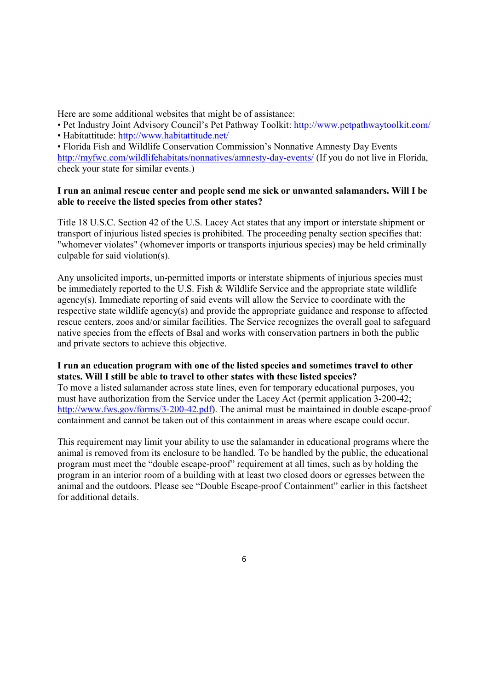Here are some additional websites that might be of assistance:

- Pet Industry Joint Advisory Council's Pet Pathway Toolkit: http://www.petpathwaytoolkit.com/
- Habitattitude: http://www.habitattitude.net/

• Florida Fish and Wildlife Conservation Commission's Nonnative Amnesty Day Events http://myfwc.com/wildlifehabitats/nonnatives/amnesty-day-events/ (If you do not live in Florida, check your state for similar events.)

# **I run an animal rescue center and people send me sick or unwanted salamanders. Will I be able to receive the listed species from other states?**

Title 18 U.S.C. Section 42 of the U.S. Lacey Act states that any import or interstate shipment or transport of injurious listed species is prohibited. The proceeding penalty section specifies that: "whomever violates" (whomever imports or transports injurious species) may be held criminally culpable for said violation(s).

Any unsolicited imports, un-permitted imports or interstate shipments of injurious species must be immediately reported to the U.S. Fish & Wildlife Service and the appropriate state wildlife agency(s). Immediate reporting of said events will allow the Service to coordinate with the respective state wildlife agency(s) and provide the appropriate guidance and response to affected rescue centers, zoos and/or similar facilities. The Service recognizes the overall goal to safeguard native species from the effects of Bsal and works with conservation partners in both the public and private sectors to achieve this objective.

# **I run an education program with one of the listed species and sometimes travel to other states. Will I still be able to travel to other states with these listed species?**

To move a listed salamander across state lines, even for temporary educational purposes, you must have authorization from the Service under the Lacey Act (permit application 3-200-42; http://www.fws.gov/forms/3-200-42.pdf). The animal must be maintained in double escape-proof containment and cannot be taken out of this containment in areas where escape could occur.

This requirement may limit your ability to use the salamander in educational programs where the animal is removed from its enclosure to be handled. To be handled by the public, the educational program must meet the "double escape-proof" requirement at all times, such as by holding the program in an interior room of a building with at least two closed doors or egresses between the animal and the outdoors. Please see "Double Escape-proof Containment" earlier in this factsheet for additional details.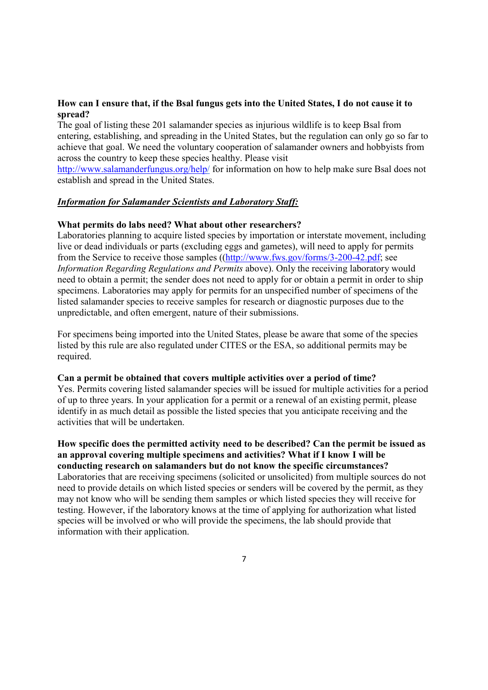# **How can I ensure that, if the Bsal fungus gets into the United States, I do not cause it to spread?**

The goal of listing these 201 salamander species as injurious wildlife is to keep Bsal from entering, establishing, and spreading in the United States, but the regulation can only go so far to achieve that goal. We need the voluntary cooperation of salamander owners and hobbyists from across the country to keep these species healthy. Please visit

http://www.salamanderfungus.org/help/ for information on how to help make sure Bsal does not establish and spread in the United States.

### *Information for Salamander Scientists and Laboratory Staff:*

## **What permits do labs need? What about other researchers?**

information with their application.

Laboratories planning to acquire listed species by importation or interstate movement, including live or dead individuals or parts (excluding eggs and gametes), will need to apply for permits from the Service to receive those samples ((http://www.fws.gov/forms/3-200-42.pdf; see *Information Regarding Regulations and Permits* above). Only the receiving laboratory would need to obtain a permit; the sender does not need to apply for or obtain a permit in order to ship specimens. Laboratories may apply for permits for an unspecified number of specimens of the listed salamander species to receive samples for research or diagnostic purposes due to the unpredictable, and often emergent, nature of their submissions.

For specimens being imported into the United States, please be aware that some of the species listed by this rule are also regulated under CITES or the ESA, so additional permits may be required.

### **Can a permit be obtained that covers multiple activities over a period of time?**

Yes. Permits covering listed salamander species will be issued for multiple activities for a period of up to three years. In your application for a permit or a renewal of an existing permit, please identify in as much detail as possible the listed species that you anticipate receiving and the activities that will be undertaken.

## **How specific does the permitted activity need to be described? Can the permit be issued as an approval covering multiple specimens and activities? What if I know I will be conducting research on salamanders but do not know the specific circumstances?** Laboratories that are receiving specimens (solicited or unsolicited) from multiple sources do not need to provide details on which listed species or senders will be covered by the permit, as they may not know who will be sending them samples or which listed species they will receive for testing. However, if the laboratory knows at the time of applying for authorization what listed species will be involved or who will provide the specimens, the lab should provide that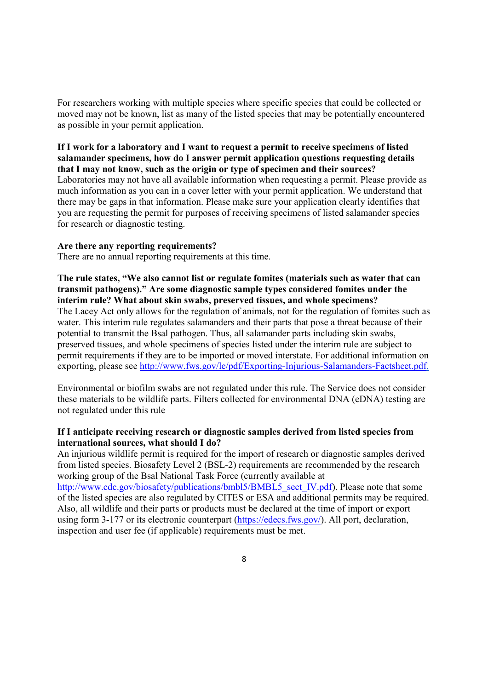For researchers working with multiple species where specific species that could be collected or moved may not be known, list as many of the listed species that may be potentially encountered as possible in your permit application.

**If I work for a laboratory and I want to request a permit to receive specimens of listed salamander specimens, how do I answer permit application questions requesting details that I may not know, such as the origin or type of specimen and their sources?** Laboratories may not have all available information when requesting a permit. Please provide as much information as you can in a cover letter with your permit application. We understand that there may be gaps in that information. Please make sure your application clearly identifies that you are requesting the permit for purposes of receiving specimens of listed salamander species for research or diagnostic testing.

#### **Are there any reporting requirements?**

There are no annual reporting requirements at this time.

**The rule states, "We also cannot list or regulate fomites (materials such as water that can transmit pathogens)." Are some diagnostic sample types considered fomites under the interim rule? What about skin swabs, preserved tissues, and whole specimens?** The Lacey Act only allows for the regulation of animals, not for the regulation of fomites such as water. This interim rule regulates salamanders and their parts that pose a threat because of their potential to transmit the Bsal pathogen. Thus, all salamander parts including skin swabs, preserved tissues, and whole specimens of species listed under the interim rule are subject to permit requirements if they are to be imported or moved interstate. For additional information on exporting, please see http://www.fws.gov/le/pdf/Exporting-Injurious-Salamanders-Factsheet.pdf.

Environmental or biofilm swabs are not regulated under this rule. The Service does not consider these materials to be wildlife parts. Filters collected for environmental DNA (eDNA) testing are not regulated under this rule

## **If I anticipate receiving research or diagnostic samples derived from listed species from international sources, what should I do?**

An injurious wildlife permit is required for the import of research or diagnostic samples derived from listed species. Biosafety Level 2 (BSL-2) requirements are recommended by the research working group of the Bsal National Task Force (currently available at http://www.cdc.gov/biosafety/publications/bmbl5/BMBL5\_sect\_IV.pdf). Please note that some

of the listed species are also regulated by CITES or ESA and additional permits may be required. Also, all wildlife and their parts or products must be declared at the time of import or export using form 3-177 or its electronic counterpart (https://edecs.fws.gov/). All port, declaration, inspection and user fee (if applicable) requirements must be met.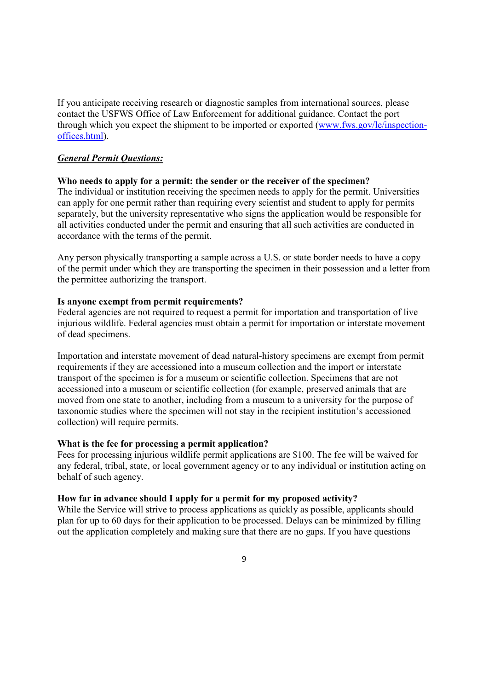If you anticipate receiving research or diagnostic samples from international sources, please contact the USFWS Office of Law Enforcement for additional guidance. Contact the port through which you expect the shipment to be imported or exported (www.fws.gov/le/inspectionoffices.html).

### *General Permit Questions:*

#### **Who needs to apply for a permit: the sender or the receiver of the specimen?**

The individual or institution receiving the specimen needs to apply for the permit. Universities can apply for one permit rather than requiring every scientist and student to apply for permits separately, but the university representative who signs the application would be responsible for all activities conducted under the permit and ensuring that all such activities are conducted in accordance with the terms of the permit.

Any person physically transporting a sample across a U.S. or state border needs to have a copy of the permit under which they are transporting the specimen in their possession and a letter from the permittee authorizing the transport.

#### **Is anyone exempt from permit requirements?**

Federal agencies are not required to request a permit for importation and transportation of live injurious wildlife. Federal agencies must obtain a permit for importation or interstate movement of dead specimens.

Importation and interstate movement of dead natural-history specimens are exempt from permit requirements if they are accessioned into a museum collection and the import or interstate transport of the specimen is for a museum or scientific collection. Specimens that are not accessioned into a museum or scientific collection (for example, preserved animals that are moved from one state to another, including from a museum to a university for the purpose of taxonomic studies where the specimen will not stay in the recipient institution's accessioned collection) will require permits.

### **What is the fee for processing a permit application?**

Fees for processing injurious wildlife permit applications are \$100. The fee will be waived for any federal, tribal, state, or local government agency or to any individual or institution acting on behalf of such agency.

## **How far in advance should I apply for a permit for my proposed activity?**

While the Service will strive to process applications as quickly as possible, applicants should plan for up to 60 days for their application to be processed. Delays can be minimized by filling out the application completely and making sure that there are no gaps. If you have questions